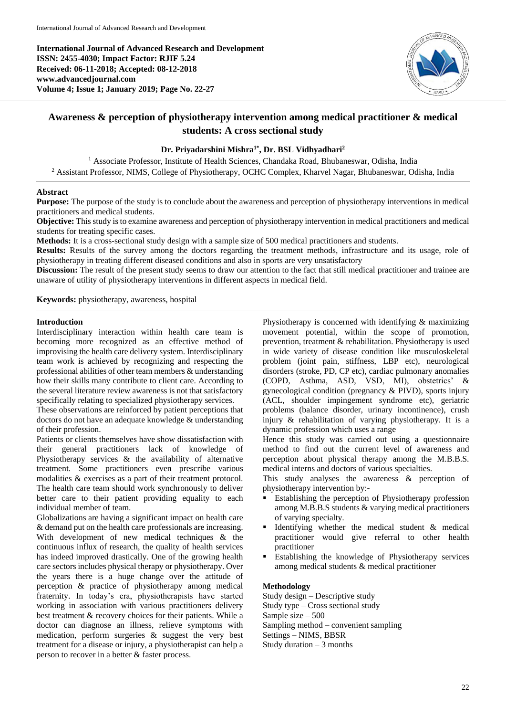**International Journal of Advanced Research and Development ISSN: 2455-4030; Impact Factor: RJIF 5.24 Received: 06-11-2018; Accepted: 08-12-2018 www.advancedjournal.com Volume 4; Issue 1; January 2019; Page No. 22-27**



# **Awareness & perception of physiotherapy intervention among medical practitioner & medical students: A cross sectional study**

## **Dr. Priyadarshini Mishra1\* , Dr. BSL Vidhyadhari<sup>2</sup>**

<sup>1</sup> Associate Professor, Institute of Health Sciences, Chandaka Road, Bhubaneswar, Odisha, India <sup>2</sup> Assistant Professor, NIMS, College of Physiotherapy, OCHC Complex, Kharvel Nagar, Bhubaneswar, Odisha, India

## **Abstract**

**Purpose:** The purpose of the study is to conclude about the awareness and perception of physiotherapy interventions in medical practitioners and medical students.

**Objective:** This study is to examine awareness and perception of physiotherapy intervention in medical practitioners and medical students for treating specific cases.

**Methods:** It is a cross-sectional study design with a sample size of 500 medical practitioners and students.

**Results:** Results of the survey among the doctors regarding the treatment methods, infrastructure and its usage, role of physiotherapy in treating different diseased conditions and also in sports are very unsatisfactory

**Discussion:** The result of the present study seems to draw our attention to the fact that still medical practitioner and trainee are unaware of utility of physiotherapy interventions in different aspects in medical field.

**Keywords:** physiotherapy, awareness, hospital

## **Introduction**

Interdisciplinary interaction within health care team is becoming more recognized as an effective method of improvising the health care delivery system. Interdisciplinary team work is achieved by recognizing and respecting the professional abilities of other team members & understanding how their skills many contribute to client care. According to the several literature review awareness is not that satisfactory specifically relating to specialized physiotherapy services.

These observations are reinforced by patient perceptions that doctors do not have an adequate knowledge & understanding of their profession.

Patients or clients themselves have show dissatisfaction with their general practitioners lack of knowledge of Physiotherapy services & the availability of alternative treatment. Some practitioners even prescribe various modalities & exercises as a part of their treatment protocol. The health care team should work synchronously to deliver better care to their patient providing equality to each individual member of team.

Globalizations are having a significant impact on health care & demand put on the health care professionals are increasing. With development of new medical techniques & the continuous influx of research, the quality of health services has indeed improved drastically. One of the growing health care sectors includes physical therapy or physiotherapy. Over the years there is a huge change over the attitude of perception & practice of physiotherapy among medical fraternity. In today's era, physiotherapists have started working in association with various practitioners delivery best treatment & recovery choices for their patients. While a doctor can diagnose an illness, relieve symptoms with medication, perform surgeries & suggest the very best treatment for a disease or injury, a physiotherapist can help a person to recover in a better & faster process.

Physiotherapy is concerned with identifying  $\&$  maximizing movement potential, within the scope of promotion, prevention, treatment & rehabilitation. Physiotherapy is used in wide variety of disease condition like musculoskeletal problem (joint pain, stiffness, LBP etc), neurological disorders (stroke, PD, CP etc), cardiac pulmonary anomalies (COPD, Asthma, ASD, VSD, MI), obstetrics' & gynecological condition (pregnancy & PIVD), sports injury (ACL, shoulder impingement syndrome etc), geriatric problems (balance disorder, urinary incontinence), crush injury & rehabilitation of varying physiotherapy. It is a dynamic profession which uses a range

Hence this study was carried out using a questionnaire method to find out the current level of awareness and perception about physical therapy among the M.B.B.S. medical interns and doctors of various specialties.

This study analyses the awareness & perception of physiotherapy intervention by:-

- **Establishing the perception of Physiotherapy profession** among M.B.B.S students & varying medical practitioners of varying specialty.
- Identifying whether the medical student & medical practitioner would give referral to other health practitioner
- Establishing the knowledge of Physiotherapy services among medical students & medical practitioner

#### **Methodology**

Study design – Descriptive study Study type – Cross sectional study Sample size – 500 Sampling method – convenient sampling Settings – NIMS, BBSR Study duration  $-3$  months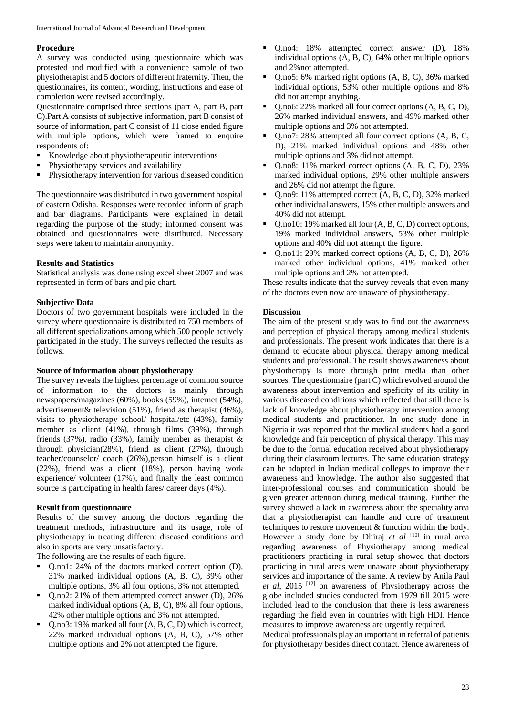#### **Procedure**

A survey was conducted using questionnaire which was protested and modified with a convenience sample of two physiotherapist and 5 doctors of different fraternity. Then, the questionnaires, its content, wording, instructions and ease of completion were revised accordingly.

Questionnaire comprised three sections (part A, part B, part C).Part A consists of subjective information, part B consist of source of information, part C consist of 11 close ended figure with multiple options, which were framed to enquire respondents of:

- Knowledge about physiotherapeutic interventions
- Physiotherapy services and availability
- Physiotherapy intervention for various diseased condition

The questionnaire was distributed in two government hospital of eastern Odisha. Responses were recorded inform of graph and bar diagrams. Participants were explained in detail regarding the purpose of the study; informed consent was obtained and questionnaires were distributed. Necessary steps were taken to maintain anonymity.

## **Results and Statistics**

Statistical analysis was done using excel sheet 2007 and was represented in form of bars and pie chart.

## **Subjective Data**

Doctors of two government hospitals were included in the survey where questionnaire is distributed to 750 members of all different specializations among which 500 people actively participated in the study. The surveys reflected the results as follows.

## **Source of information about physiotherapy**

The survey reveals the highest percentage of common source of information to the doctors is mainly through newspapers/magazines (60%), books (59%), internet (54%), advertisement& television (51%), friend as therapist (46%), visits to physiotherapy school/ hospital/etc (43%), family member as client (41%), through films (39%), through friends (37%), radio (33%), family member as therapist  $\&$ through physician(28%), friend as client (27%), through teacher/counselor/ coach (26%),person himself is a client (22%), friend was a client (18%), person having work experience/ volunteer (17%), and finally the least common source is participating in health fares/ career days (4%).

#### **Result from questionnaire**

Results of the survey among the doctors regarding the treatment methods, infrastructure and its usage, role of physiotherapy in treating different diseased conditions and also in sports are very unsatisfactory.

The following are the results of each figure.

- Q.no1: 24% of the doctors marked correct option (D), 31% marked individual options (A, B, C), 39% other multiple options, 3% all four options, 3% not attempted.
- Q.no2: 21% of them attempted correct answer (D), 26% marked individual options (A, B, C), 8% all four options, 42% other multiple options and 3% not attempted.
- Q.no3: 19% marked all four (A, B, C, D) which is correct, 22% marked individual options (A, B, C), 57% other multiple options and 2% not attempted the figure.
- Q.no4: 18% attempted correct answer (D), 18% individual options (A, B, C), 64% other multiple options and 2%not attempted.
- Q.no5: 6% marked right options (A, B, C), 36% marked individual options, 53% other multiple options and 8% did not attempt anything.
- Q.no6: 22% marked all four correct options (A, B, C, D), 26% marked individual answers, and 49% marked other multiple options and 3% not attempted.
- Q.no7: 28% attempted all four correct options (A, B, C, D), 21% marked individual options and 48% other multiple options and 3% did not attempt.
- Q.no8: 11% marked correct options (A, B, C, D), 23% marked individual options, 29% other multiple answers and 26% did not attempt the figure.
- Q.no9: 11% attempted correct (A, B, C, D), 32% marked other individual answers, 15% other multiple answers and 40% did not attempt.
- Q.no10: 19% marked all four (A, B, C, D) correct options, 19% marked individual answers, 53% other multiple options and 40% did not attempt the figure.
- Q.no11: 29% marked correct options (A, B, C, D), 26% marked other individual options, 41% marked other multiple options and 2% not attempted.

These results indicate that the survey reveals that even many of the doctors even now are unaware of physiotherapy.

## **Discussion**

The aim of the present study was to find out the awareness and perception of physical therapy among medical students and professionals. The present work indicates that there is a demand to educate about physical therapy among medical students and professional. The result shows awareness about physiotherapy is more through print media than other sources. The questionnaire (part C) which evolved around the awareness about intervention and speficity of its utility in various diseased conditions which reflected that still there is lack of knowledge about physiotherapy intervention among medical students and practitioner. In one study done in Nigeria it was reported that the medical students had a good knowledge and fair perception of physical therapy. This may be due to the formal education received about physiotherapy during their classroom lectures. The same education strategy can be adopted in Indian medical colleges to improve their awareness and knowledge. The author also suggested that inter-professional courses and communication should be given greater attention during medical training. Further the survey showed a lack in awareness about the speciality area that a physiotherapist can handle and cure of treatment techniques to restore movement & function within the body. However a study done by Dhiraj et al <sup>[10]</sup> in rural area regarding awareness of Physiotherapy among medical practitioners practicing in rural setup showed that doctors practicing in rural areas were unaware about physiotherapy services and importance of the same. A review by Anila Paul *et al*, 2015 [12] on awareness of Physiotherapy across the globe included studies conducted from 1979 till 2015 were included lead to the conclusion that there is less awareness regarding the field even in countries with high HDI. Hence measures to improve awareness are urgently required.

Medical professionals play an important in referral of patients for physiotherapy besides direct contact. Hence awareness of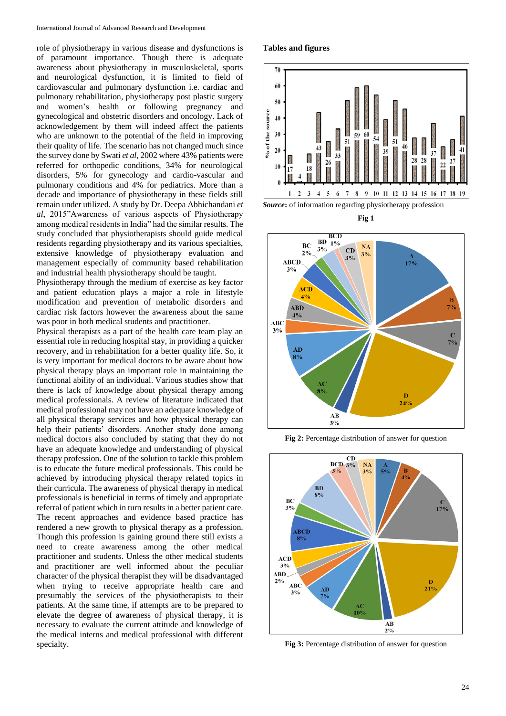role of physiotherapy in various disease and dysfunctions is of paramount importance. Though there is adequate awareness about physiotherapy in musculoskeletal, sports and neurological dysfunction, it is limited to field of cardiovascular and pulmonary dysfunction i.e. cardiac and pulmonary rehabilitation, physiotherapy post plastic surgery and women's health or following pregnancy and gynecological and obstetric disorders and oncology. Lack of acknowledgement by them will indeed affect the patients who are unknown to the potential of the field in improving their quality of life. The scenario has not changed much since the survey done by Swati *et al*, 2002 where 43% patients were referred for orthopedic conditions, 34% for neurological disorders, 5% for gynecology and cardio-vascular and pulmonary conditions and 4% for pediatrics. More than a decade and importance of physiotherapy in these fields still remain under utilized. A study by Dr. Deepa Abhichandani *et al*, 2015"Awareness of various aspects of Physiotherapy among medical residents in India" had the similar results. The study concluded that physiotherapists should guide medical residents regarding physiotherapy and its various specialties, extensive knowledge of physiotherapy evaluation and management especially of community based rehabilitation and industrial health physiotherapy should be taught.

Physiotherapy through the medium of exercise as key factor and patient education plays a major a role in lifestyle modification and prevention of metabolic disorders and cardiac risk factors however the awareness about the same was poor in both medical students and practitioner.

Physical therapists as a part of the health care team play an essential role in reducing hospital stay, in providing a quicker recovery, and in rehabilitation for a better quality life. So, it is very important for medical doctors to be aware about how physical therapy plays an important role in maintaining the functional ability of an individual. Various studies show that there is lack of knowledge about physical therapy among medical professionals. A review of literature indicated that medical professional may not have an adequate knowledge of all physical therapy services and how physical therapy can help their patients' disorders. Another study done among medical doctors also concluded by stating that they do not have an adequate knowledge and understanding of physical therapy profession. One of the solution to tackle this problem is to educate the future medical professionals. This could be achieved by introducing physical therapy related topics in their curricula. The awareness of physical therapy in medical professionals is beneficial in terms of timely and appropriate referral of patient which in turn results in a better patient care. The recent approaches and evidence based practice has rendered a new growth to physical therapy as a profession. Though this profession is gaining ground there still exists a need to create awareness among the other medical practitioner and students. Unless the other medical students and practitioner are well informed about the peculiar character of the physical therapist they will be disadvantaged when trying to receive appropriate health care and presumably the services of the physiotherapists to their patients. At the same time, if attempts are to be prepared to elevate the degree of awareness of physical therapy, it is necessary to evaluate the current attitude and knowledge of the medical interns and medical professional with different specialty.







**Fig 2:** Percentage distribution of answer for question



**Fig 3:** Percentage distribution of answer for question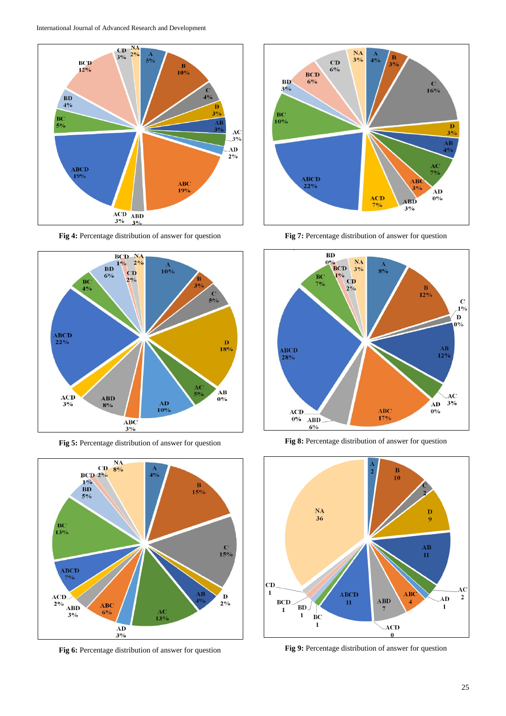

**Fig 4:** Percentage distribution of answer for question



**Fig 5:** Percentage distribution of answer for question



**Fig 6:** Percentage distribution of answer for question



**Fig 7:** Percentage distribution of answer for question



**Fig 8:** Percentage distribution of answer for question



**Fig 9:** Percentage distribution of answer for question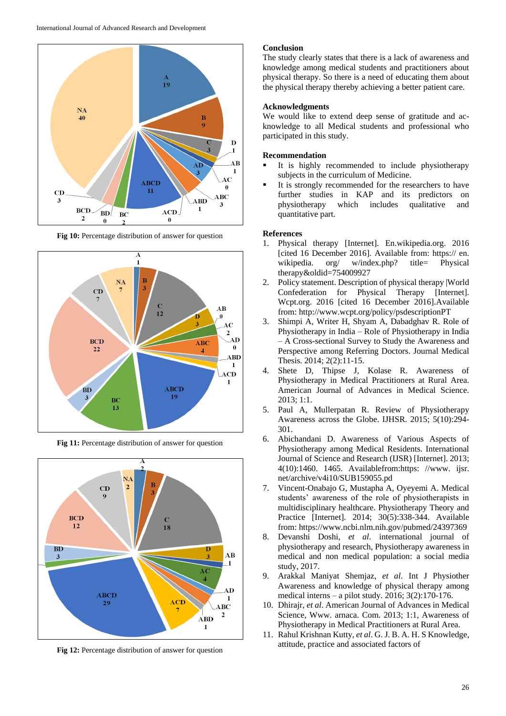

**Fig 10:** Percentage distribution of answer for question



**Fig 11:** Percentage distribution of answer for question



**Fig 12:** Percentage distribution of answer for question

#### **Conclusion**

The study clearly states that there is a lack of awareness and knowledge among medical students and practitioners about physical therapy. So there is a need of educating them about the physical therapy thereby achieving a better patient care.

## **Acknowledgments**

We would like to extend deep sense of gratitude and acknowledge to all Medical students and professional who participated in this study.

#### **Recommendation**

- It is highly recommended to include physiotherapy subjects in the curriculum of Medicine.
- It is strongly recommended for the researchers to have further studies in KAP and its predictors on physiotherapy which includes qualitative and quantitative part.

#### **References**

- 1. Physical therapy [Internet]. En.wikipedia.org. 2016 [cited 16 December 2016]. Available from: https:// en. wikipedia. org/ w/index.php? title= Physical therapy&oldid=754009927
- 2. Policy statement. Description of physical therapy |World Confederation for Physical Therapy [Internet]. Wcpt.org. 2016 [cited 16 December 2016].Available from: http://www.wcpt.org/policy/psdescriptionPT
- 3. Shimpi A, Writer H, Shyam A, Dabadghav R. Role of Physiotherapy in India – Role of Physiotherapy in India – A Cross-sectional Survey to Study the Awareness and Perspective among Referring Doctors. Journal Medical Thesis. 2014; 2(2):11-15.
- 4. Shete D, Thipse J, Kolase R. Awareness of Physiotherapy in Medical Practitioners at Rural Area. American Journal of Advances in Medical Science. 2013; 1:1.
- 5. Paul A, Mullerpatan R. Review of Physiotherapy Awareness across the Globe. IJHSR. 2015; 5(10):294- 301.
- 6. Abichandani D. Awareness of Various Aspects of Physiotherapy among Medical Residents. International Journal of Science and Research (IJSR) [Internet]. 2013; 4(10):1460. 1465. Availablefrom:https: //www. ijsr. net/archive/v4i10/SUB159055.pd
- 7. Vincent-Onabajo G, Mustapha A, Oyeyemi A. Medical students' awareness of the role of physiotherapists in multidisciplinary healthcare. Physiotherapy Theory and Practice [Internet]. 2014; 30(5):338-344. Available from: https://www.ncbi.nlm.nih.gov/pubmed/24397369
- 8. Devanshi Doshi, *et al*. international journal of physiotherapy and research, Physiotherapy awareness in medical and non medical population: a social media study, 2017.
- 9. Arakkal Maniyat Shemjaz, *et al*. Int J Physiother Awareness and knowledge of physical therapy among medical interns – a pilot study. 2016; 3(2):170-176.
- 10. Dhirajr, *et al*. American Journal of Advances in Medical Science, Www. arnaca. Com. 2013; 1:1, Awareness of Physiotherapy in Medical Practitioners at Rural Area.
- 11. Rahul Krishnan Kutty, *et al*. G. J. B. A. H. S Knowledge, attitude, practice and associated factors of